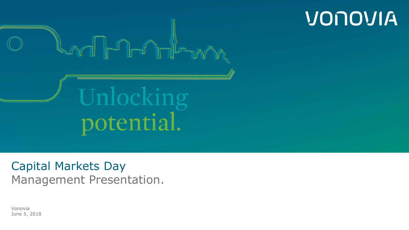

VONOVIA

Capital Markets Day Management Presentation.

Vonovia June 5, 2018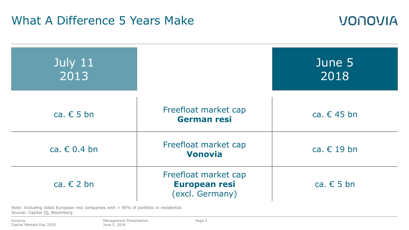### What A Difference 5 Years Make



VONOVIA

Note: Including listed European resi companies with > 90% of portfolio in residential. Sourse: Capital IQ, Bloomberg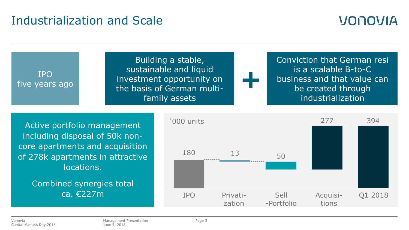### Industrialization and Scale

## VONOVIA

IPO five years ago Building a stable, sustainable and liquid investment opportunity on the basis of German multifamily assets Conviction that German resi is a scalable B-to-C business and that value can be created through industrialization **+** Active portfolio management including disposal of 50k noncore apartments and acquisition of 278k apartments in attractive 277 394 '000 units

locations.

Combined synergies total ca. €227m

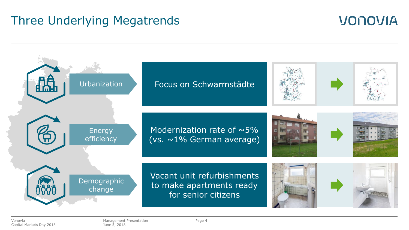### Three Underlying Megatrends

## Urbanization Energy efficiency Demographic change Focus on Schwarmstädte Modernization rate of  $\sim$ 5% (vs. ~1% German average) Vacant unit refurbishments to make apartments ready for senior citizens

**VONOVIA**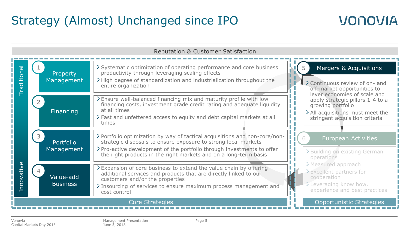## Strategy (Almost) Unchanged since IPO

## **VONOVIA**

| Reputation & Customer Satisfaction                 |                              |                                                                                                                                                                                                                                                                                            |                                                                                                                                                                                                                                                        |  |
|----------------------------------------------------|------------------------------|--------------------------------------------------------------------------------------------------------------------------------------------------------------------------------------------------------------------------------------------------------------------------------------------|--------------------------------------------------------------------------------------------------------------------------------------------------------------------------------------------------------------------------------------------------------|--|
| Traditional                                        | Property<br>Management       | > Systematic optimization of operating performance and core business<br>productivity through leveraging scaling effects<br>>High degree of standardization and industrialization throughout the<br>entire organization                                                                     | Mergers & Acquisitions<br>> Continuous review of on- and<br>off-market opportunities to<br>lever economies of scale and<br>apply strategic pillars 1-4 to a<br>growing portfolio<br>> All acquisitions must meet the<br>stringent acquisition criteria |  |
|                                                    | Financing                    | > Ensure well-balanced financing mix and maturity profile with low<br>financing costs, investment grade credit rating and adequate liquidity<br>at all times<br>>Fast and unfettered access to equity and debt capital markets at all<br>times                                             |                                                                                                                                                                                                                                                        |  |
| nnovative<br>$\mapsto$                             | Portfolio<br>Management      | > Portfolio optimization by way of tactical acquisitions and non-core/non-<br>strategic disposals to ensure exposure to strong local markets<br>> Pro-active development of the portfolio through investments to offer<br>the right products in the right markets and on a long-term basis | 6<br>European Activities<br>>Building on existing German<br>operations                                                                                                                                                                                 |  |
|                                                    | Value-add<br><b>Business</b> | > Expansion of core business to extend the value chain by offering<br>additional services and products that are directly linked to our<br>customers and/or the properties<br>> Insourcing of services to ensure maximum process management and<br>cost control                             | > Measured approach<br>>Excellent partners for<br>cooperation<br>>Leveraging know how,<br>experience and best practices                                                                                                                                |  |
| <b>Opportunistic Strategies</b><br>Core Strategies |                              |                                                                                                                                                                                                                                                                                            |                                                                                                                                                                                                                                                        |  |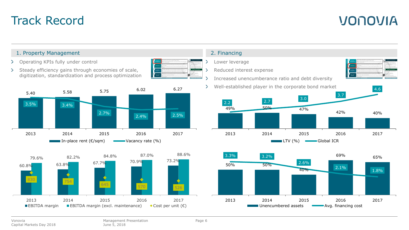### Track Record

## **VONOVIA**

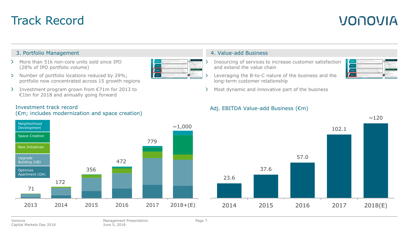### Track Record

## VONOVIA

### 3. Portfolio Management 4. Value-add Business

- More than 51k non-core units sold since IPO (28% of IPO portfolio volume)
- > Number of portfolio locations reduced by 29%; portfolio now concentrated across 15 growth regions
- Investment program grown from €71m for 2013 to €1bn for 2018 and annually going forward



- Insourcing of services to increase customer satisfaction and extend the value chain
- Leveraging the B-to-C nature of the business and the long-term customer relationship
- > Most dynamic and innovative part of the business



### Adj. EBITDA Value-add Business (€m)



# 23.6 37.6 57.0 102.1  $~120$

2014 2015 2016 2017 2018(E)

### Investment track record

### (€m; includes modernization and space creation)

Vonovia Capital Markets Day 2018 Page 7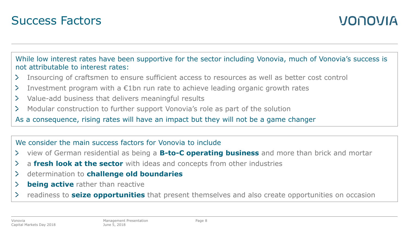



While low interest rates have been supportive for the sector including Vonovia, much of Vonovia's success is not attributable to interest rates:

- Insourcing of craftsmen to ensure sufficient access to resources as well as better cost control ≻
- Investment program with a  $\epsilon$ 1bn run rate to achieve leading organic growth rates  $\geq$
- Value-add business that delivers meaningful results  $\geq$
- Modular construction to further support Vonovia's role as part of the solution ≻

As a consequence, rising rates will have an impact but they will not be a game changer

### We consider the main success factors for Vonovia to include

- view of German residential as being a **B-to-C operating business** and more than brick and mortar  $\geq$
- a **fresh look at the sector** with ideas and concepts from other industries ≻
- determination to **challenge old boundaries**  $\geq$
- ⋗ **being active** rather than reactive
- readiness to **seize opportunities** that present themselves and also create opportunities on occasion ≻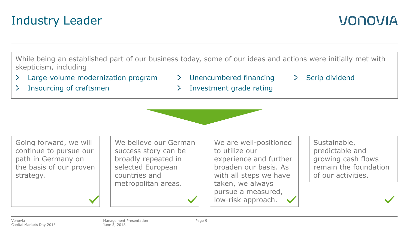# strategy.

 $\geq$  $\geq$ 

> We believe our German success story can be broadly repeated in selected European countries and metropolitan areas.

Management Presentation

June 5, 2018

We are well-positioned to utilize our experience and further broaden our basis. As with all steps we have taken, we always pursue a measured, low-risk approach.

Sustainable, predictable and growing cash flows remain the foundation of our activities.

VONOVIA

### Unencumbered financing Scrip dividend  $\sum_{i=1}^{n}$

Investment grade rating D.

While being an established part of our business today, some of our ideas and actions were initially met with

## Industry Leader

skepticism, including

Insourcing of craftsmen

Large-volume modernization program

Going forward, we will continue to pursue our path in Germany on the basis of our proven



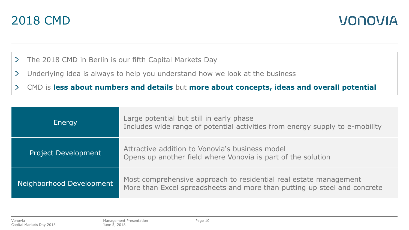



- $\sum$ The 2018 CMD in Berlin is our fifth Capital Markets Day
- $\geq$ Underlying idea is always to help you understand how we look at the business
- $\geq$ CMD is **less about numbers and details** but **more about concepts, ideas and overall potential**

| Energy                     | Large potential but still in early phase<br>Includes wide range of potential activities from energy supply to e-mobility                      |
|----------------------------|-----------------------------------------------------------------------------------------------------------------------------------------------|
| <b>Project Development</b> | Attractive addition to Vonovia's business model<br>Opens up another field where Vonovia is part of the solution                               |
| Neighborhood Development   | Most comprehensive approach to residential real estate management<br>More than Excel spreadsheets and more than putting up steel and concrete |